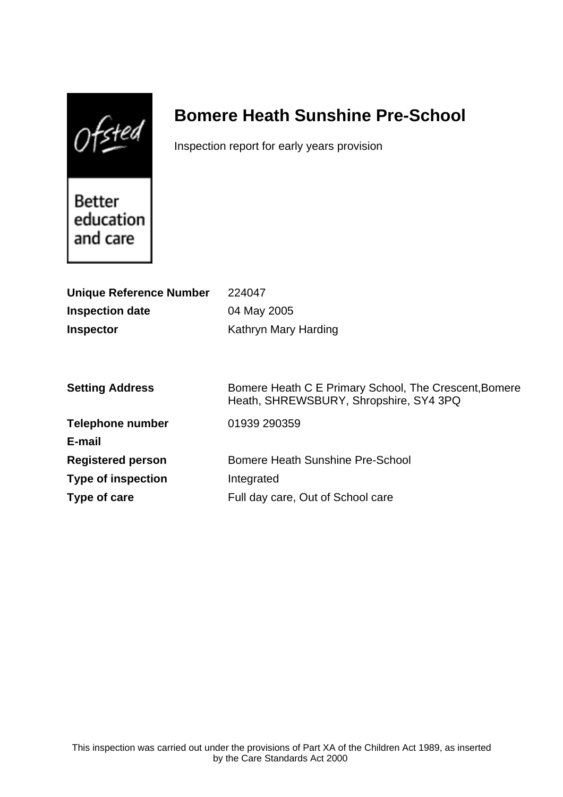$0$ fsted

# **Bomere Heath Sunshine Pre-School**

Inspection report for early years provision

Better education and care

| <b>Unique Reference Number</b> | 224047                                                                                          |
|--------------------------------|-------------------------------------------------------------------------------------------------|
| <b>Inspection date</b>         | 04 May 2005                                                                                     |
| <b>Inspector</b>               | Kathryn Mary Harding                                                                            |
|                                |                                                                                                 |
|                                |                                                                                                 |
| <b>Setting Address</b>         | Bomere Heath C E Primary School, The Crescent, Bomere<br>Heath, SHREWSBURY, Shropshire, SY4 3PQ |
| <b>Telephone number</b>        | 01939 290359                                                                                    |
| E-mail                         |                                                                                                 |
| <b>Registered person</b>       | Bomere Heath Sunshine Pre-School                                                                |
| <b>Type of inspection</b>      | Integrated                                                                                      |
| Type of care                   | Full day care, Out of School care                                                               |
|                                |                                                                                                 |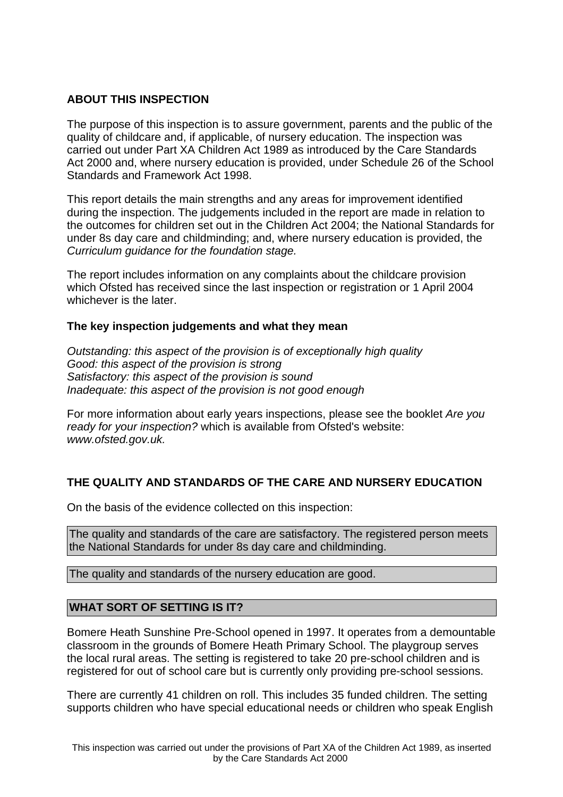# **ABOUT THIS INSPECTION**

The purpose of this inspection is to assure government, parents and the public of the quality of childcare and, if applicable, of nursery education. The inspection was carried out under Part XA Children Act 1989 as introduced by the Care Standards Act 2000 and, where nursery education is provided, under Schedule 26 of the School Standards and Framework Act 1998.

This report details the main strengths and any areas for improvement identified during the inspection. The judgements included in the report are made in relation to the outcomes for children set out in the Children Act 2004; the National Standards for under 8s day care and childminding; and, where nursery education is provided, the Curriculum guidance for the foundation stage.

The report includes information on any complaints about the childcare provision which Ofsted has received since the last inspection or registration or 1 April 2004 whichever is the later.

# **The key inspection judgements and what they mean**

Outstanding: this aspect of the provision is of exceptionally high quality Good: this aspect of the provision is strong Satisfactory: this aspect of the provision is sound Inadequate: this aspect of the provision is not good enough

For more information about early years inspections, please see the booklet Are you ready for your inspection? which is available from Ofsted's website: www.ofsted.gov.uk.

# **THE QUALITY AND STANDARDS OF THE CARE AND NURSERY EDUCATION**

On the basis of the evidence collected on this inspection:

The quality and standards of the care are satisfactory. The registered person meets the National Standards for under 8s day care and childminding.

The quality and standards of the nursery education are good.

# **WHAT SORT OF SETTING IS IT?**

Bomere Heath Sunshine Pre-School opened in 1997. It operates from a demountable classroom in the grounds of Bomere Heath Primary School. The playgroup serves the local rural areas. The setting is registered to take 20 pre-school children and is registered for out of school care but is currently only providing pre-school sessions.

There are currently 41 children on roll. This includes 35 funded children. The setting supports children who have special educational needs or children who speak English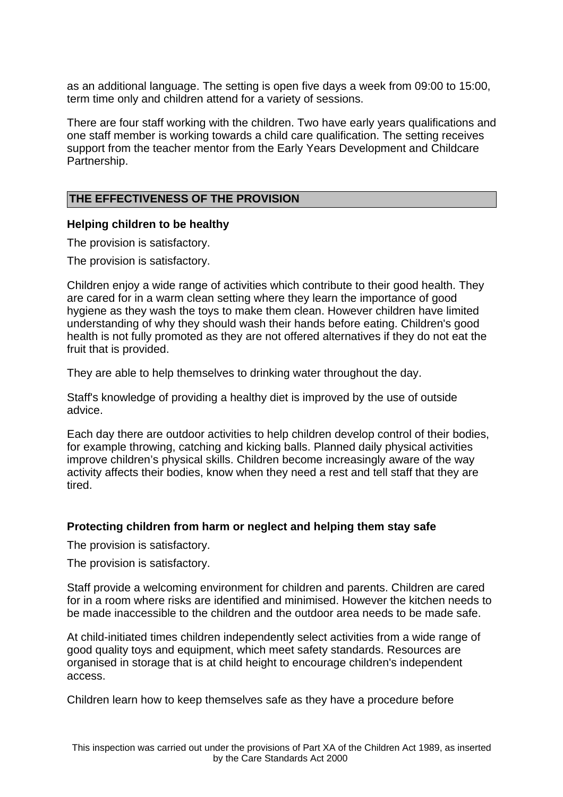as an additional language. The setting is open five days a week from 09:00 to 15:00, term time only and children attend for a variety of sessions.

There are four staff working with the children. Two have early years qualifications and one staff member is working towards a child care qualification. The setting receives support from the teacher mentor from the Early Years Development and Childcare Partnership.

#### **THE EFFECTIVENESS OF THE PROVISION**

#### **Helping children to be healthy**

The provision is satisfactory.

The provision is satisfactory.

Children enjoy a wide range of activities which contribute to their good health. They are cared for in a warm clean setting where they learn the importance of good hygiene as they wash the toys to make them clean. However children have limited understanding of why they should wash their hands before eating. Children's good health is not fully promoted as they are not offered alternatives if they do not eat the fruit that is provided.

They are able to help themselves to drinking water throughout the day.

Staff's knowledge of providing a healthy diet is improved by the use of outside advice.

Each day there are outdoor activities to help children develop control of their bodies, for example throwing, catching and kicking balls. Planned daily physical activities improve children's physical skills. Children become increasingly aware of the way activity affects their bodies, know when they need a rest and tell staff that they are tired.

# **Protecting children from harm or neglect and helping them stay safe**

The provision is satisfactory.

The provision is satisfactory.

Staff provide a welcoming environment for children and parents. Children are cared for in a room where risks are identified and minimised. However the kitchen needs to be made inaccessible to the children and the outdoor area needs to be made safe.

At child-initiated times children independently select activities from a wide range of good quality toys and equipment, which meet safety standards. Resources are organised in storage that is at child height to encourage children's independent access.

Children learn how to keep themselves safe as they have a procedure before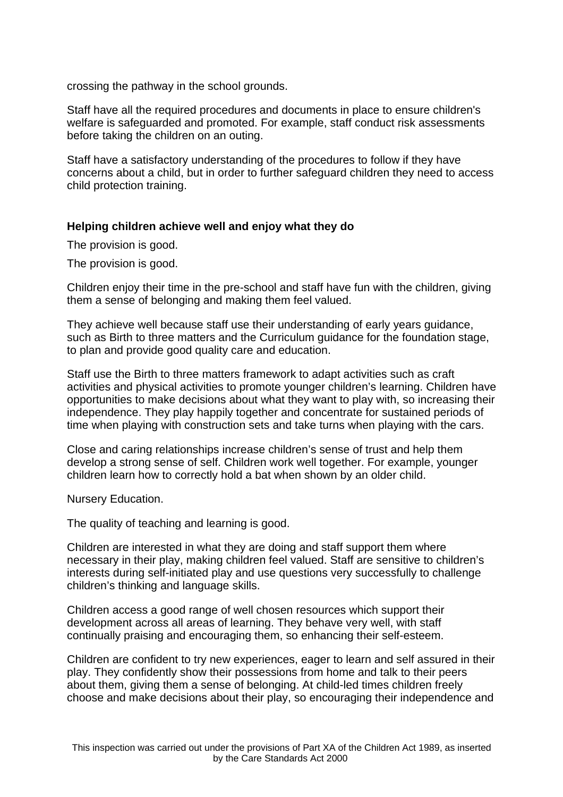crossing the pathway in the school grounds.

Staff have all the required procedures and documents in place to ensure children's welfare is safeguarded and promoted. For example, staff conduct risk assessments before taking the children on an outing.

Staff have a satisfactory understanding of the procedures to follow if they have concerns about a child, but in order to further safeguard children they need to access child protection training.

# **Helping children achieve well and enjoy what they do**

The provision is good.

The provision is good.

Children enjoy their time in the pre-school and staff have fun with the children, giving them a sense of belonging and making them feel valued.

They achieve well because staff use their understanding of early years guidance, such as Birth to three matters and the Curriculum guidance for the foundation stage, to plan and provide good quality care and education.

Staff use the Birth to three matters framework to adapt activities such as craft activities and physical activities to promote younger children's learning. Children have opportunities to make decisions about what they want to play with, so increasing their independence. They play happily together and concentrate for sustained periods of time when playing with construction sets and take turns when playing with the cars.

Close and caring relationships increase children's sense of trust and help them develop a strong sense of self. Children work well together. For example, younger children learn how to correctly hold a bat when shown by an older child.

Nursery Education.

The quality of teaching and learning is good.

Children are interested in what they are doing and staff support them where necessary in their play, making children feel valued. Staff are sensitive to children's interests during self-initiated play and use questions very successfully to challenge children's thinking and language skills.

Children access a good range of well chosen resources which support their development across all areas of learning. They behave very well, with staff continually praising and encouraging them, so enhancing their self-esteem.

Children are confident to try new experiences, eager to learn and self assured in their play. They confidently show their possessions from home and talk to their peers about them, giving them a sense of belonging. At child-led times children freely choose and make decisions about their play, so encouraging their independence and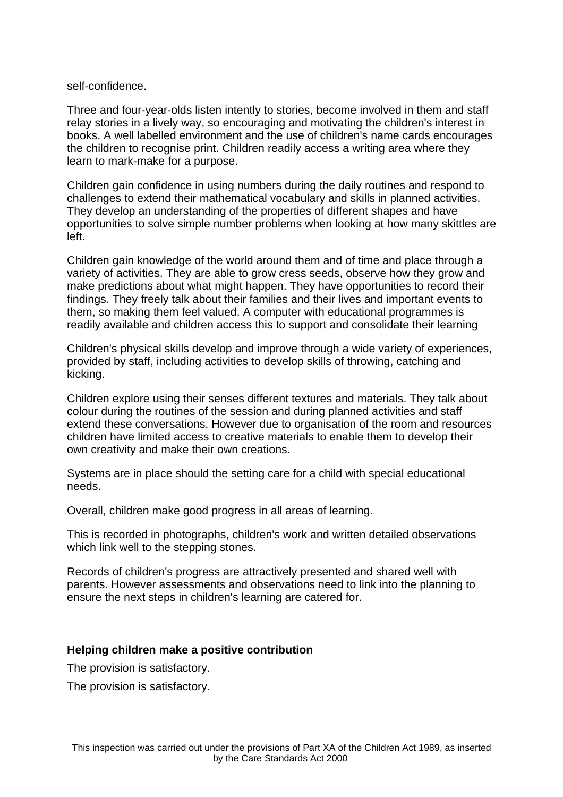#### self-confidence.

Three and four-year-olds listen intently to stories, become involved in them and staff relay stories in a lively way, so encouraging and motivating the children's interest in books. A well labelled environment and the use of children's name cards encourages the children to recognise print. Children readily access a writing area where they learn to mark-make for a purpose.

Children gain confidence in using numbers during the daily routines and respond to challenges to extend their mathematical vocabulary and skills in planned activities. They develop an understanding of the properties of different shapes and have opportunities to solve simple number problems when looking at how many skittles are left.

Children gain knowledge of the world around them and of time and place through a variety of activities. They are able to grow cress seeds, observe how they grow and make predictions about what might happen. They have opportunities to record their findings. They freely talk about their families and their lives and important events to them, so making them feel valued. A computer with educational programmes is readily available and children access this to support and consolidate their learning

Children's physical skills develop and improve through a wide variety of experiences, provided by staff, including activities to develop skills of throwing, catching and kicking.

Children explore using their senses different textures and materials. They talk about colour during the routines of the session and during planned activities and staff extend these conversations. However due to organisation of the room and resources children have limited access to creative materials to enable them to develop their own creativity and make their own creations.

Systems are in place should the setting care for a child with special educational needs.

Overall, children make good progress in all areas of learning.

This is recorded in photographs, children's work and written detailed observations which link well to the stepping stones.

Records of children's progress are attractively presented and shared well with parents. However assessments and observations need to link into the planning to ensure the next steps in children's learning are catered for.

# **Helping children make a positive contribution**

The provision is satisfactory.

The provision is satisfactory.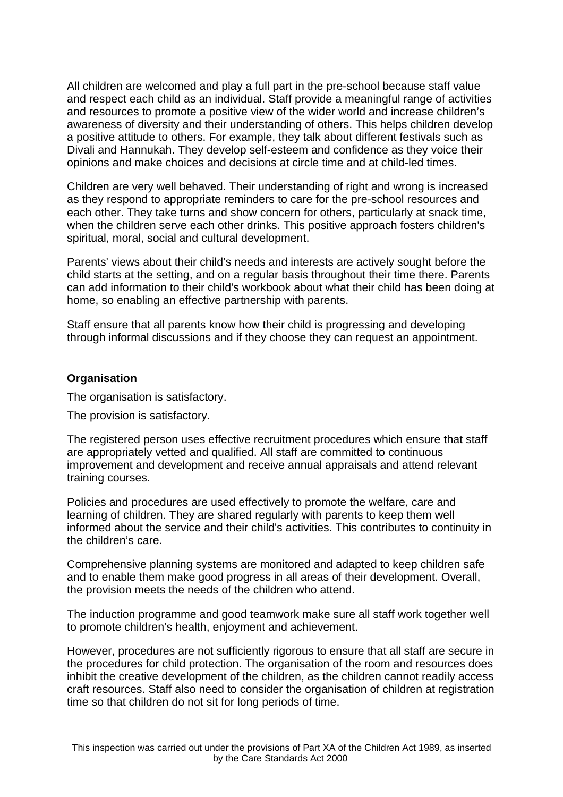All children are welcomed and play a full part in the pre-school because staff value and respect each child as an individual. Staff provide a meaningful range of activities and resources to promote a positive view of the wider world and increase children's awareness of diversity and their understanding of others. This helps children develop a positive attitude to others. For example, they talk about different festivals such as Divali and Hannukah. They develop self-esteem and confidence as they voice their opinions and make choices and decisions at circle time and at child-led times.

Children are very well behaved. Their understanding of right and wrong is increased as they respond to appropriate reminders to care for the pre-school resources and each other. They take turns and show concern for others, particularly at snack time, when the children serve each other drinks. This positive approach fosters children's spiritual, moral, social and cultural development.

Parents' views about their child's needs and interests are actively sought before the child starts at the setting, and on a regular basis throughout their time there. Parents can add information to their child's workbook about what their child has been doing at home, so enabling an effective partnership with parents.

Staff ensure that all parents know how their child is progressing and developing through informal discussions and if they choose they can request an appointment.

# **Organisation**

The organisation is satisfactory.

The provision is satisfactory.

The registered person uses effective recruitment procedures which ensure that staff are appropriately vetted and qualified. All staff are committed to continuous improvement and development and receive annual appraisals and attend relevant training courses.

Policies and procedures are used effectively to promote the welfare, care and learning of children. They are shared regularly with parents to keep them well informed about the service and their child's activities. This contributes to continuity in the children's care.

Comprehensive planning systems are monitored and adapted to keep children safe and to enable them make good progress in all areas of their development. Overall, the provision meets the needs of the children who attend.

The induction programme and good teamwork make sure all staff work together well to promote children's health, enjoyment and achievement.

However, procedures are not sufficiently rigorous to ensure that all staff are secure in the procedures for child protection. The organisation of the room and resources does inhibit the creative development of the children, as the children cannot readily access craft resources. Staff also need to consider the organisation of children at registration time so that children do not sit for long periods of time.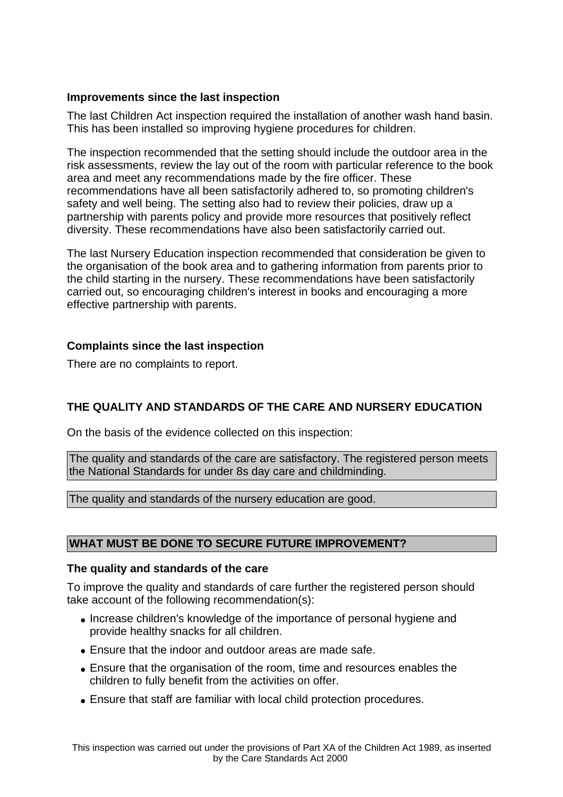# **Improvements since the last inspection**

The last Children Act inspection required the installation of another wash hand basin. This has been installed so improving hygiene procedures for children.

The inspection recommended that the setting should include the outdoor area in the risk assessments, review the lay out of the room with particular reference to the book area and meet any recommendations made by the fire officer. These recommendations have all been satisfactorily adhered to, so promoting children's safety and well being. The setting also had to review their policies, draw up a partnership with parents policy and provide more resources that positively reflect diversity. These recommendations have also been satisfactorily carried out.

The last Nursery Education inspection recommended that consideration be given to the organisation of the book area and to gathering information from parents prior to the child starting in the nursery. These recommendations have been satisfactorily carried out, so encouraging children's interest in books and encouraging a more effective partnership with parents.

# **Complaints since the last inspection**

There are no complaints to report.

# **THE QUALITY AND STANDARDS OF THE CARE AND NURSERY EDUCATION**

On the basis of the evidence collected on this inspection:

The quality and standards of the care are satisfactory. The registered person meets the National Standards for under 8s day care and childminding.

The quality and standards of the nursery education are good.

# **WHAT MUST BE DONE TO SECURE FUTURE IMPROVEMENT?**

# **The quality and standards of the care**

To improve the quality and standards of care further the registered person should take account of the following recommendation(s):

- Increase children's knowledge of the importance of personal hygiene and provide healthy snacks for all children.
- Ensure that the indoor and outdoor areas are made safe.
- Ensure that the organisation of the room, time and resources enables the children to fully benefit from the activities on offer.
- Ensure that staff are familiar with local child protection procedures.